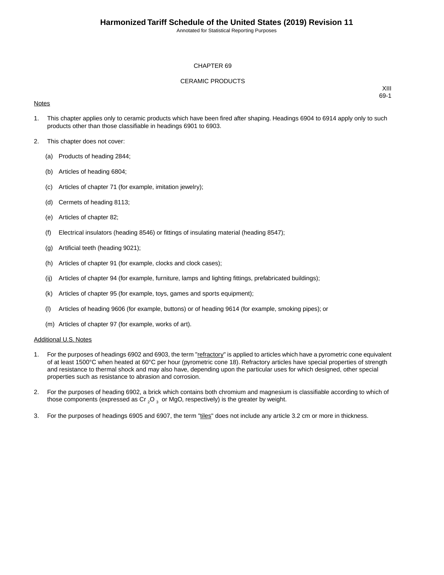Annotated for Statistical Reporting Purposes

#### CHAPTER 69

#### CERAMIC PRODUCTS

#### **Notes**

XIII 69-1

- 1. This chapter applies only to ceramic products which have been fired after shaping. Headings 6904 to 6914 apply only to such products other than those classifiable in headings 6901 to 6903.
- 2. This chapter does not cover:
	- (a) Products of heading 2844;
	- (b) Articles of heading 6804;
	- (c) Articles of chapter 71 (for example, imitation jewelry);
	- (d) Cermets of heading 8113;
	- (e) Articles of chapter 82;
	- (f) Electrical insulators (heading 8546) or fittings of insulating material (heading 8547);
	- (g) Artificial teeth (heading 9021);
	- (h) Articles of chapter 91 (for example, clocks and clock cases);
	- (ij) Articles of chapter 94 (for example, furniture, lamps and lighting fittings, prefabricated buildings);
	- (k) Articles of chapter 95 (for example, toys, games and sports equipment);
	- (l) Articles of heading 9606 (for example, buttons) or of heading 9614 (for example, smoking pipes); or
	- (m) Articles of chapter 97 (for example, works of art).

#### Additional U.S. Notes

- 1. For the purposes of headings 6902 and 6903, the term "refractory" is applied to articles which have a pyrometric cone equivalent of at least 1500°C when heated at 60°C per hour (pyrometric cone 18). Refractory articles have special properties of strength and resistance to thermal shock and may also have, depending upon the particular uses for which designed, other special properties such as resistance to abrasion and corrosion.
- 2. For the purposes of heading 6902, a brick which contains both chromium and magnesium is classifiable according to which of those components (expressed as Cr  $_2$ O  $_3$  or MgO, respectively) is the greater by weight.
- 3. For the purposes of headings 6905 and 6907, the term "tiles" does not include any article 3.2 cm or more in thickness.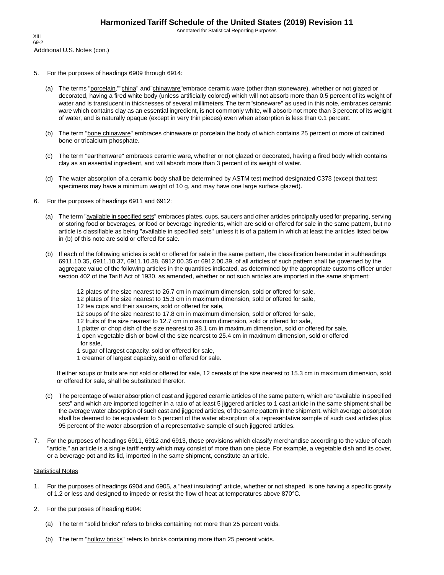Annotated for Statistical Reporting Purposes

- 5. For the purposes of headings 6909 through 6914:
	- (a) The terms "porcelain,""china" and"chinaware"embrace ceramic ware (other than stoneware), whether or not glazed or decorated, having a fired white body (unless artificially colored) which will not absorb more than 0.5 percent of its weight of water and is translucent in thicknesses of several millimeters. The term"stoneware" as used in this note, embraces ceramic ware which contains clay as an essential ingredient, is not commonly white, will absorb not more than 3 percent of its weight of water, and is naturally opaque (except in very thin pieces) even when absorption is less than 0.1 percent.
	- (b) The term "bone chinaware" embraces chinaware or porcelain the body of which contains 25 percent or more of calcined bone or tricalcium phosphate.
	- (c) The term "earthenware" embraces ceramic ware, whether or not glazed or decorated, having a fired body which contains clay as an essential ingredient, and will absorb more than 3 percent of its weight of water.
	- (d) The water absorption of a ceramic body shall be determined by ASTM test method designated C373 (except that test specimens may have a minimum weight of 10 g, and may have one large surface glazed).
- 6. For the purposes of headings 6911 and 6912:
	- (a) The term "*available in specified sets*" embraces plates, cups, saucers and other articles principally used for preparing, serving or storing food or beverages, or food or beverage ingredients, which are sold or offered for sale in the same pattern, but no article is classifiable as being "available in specified sets" unless it is of a pattern in which at least the articles listed below in (b) of this note are sold or offered for sale.
	- (b) If each of the following articles is sold or offered for sale in the same pattern, the classification hereunder in subheadings 6911.10.35, 6911.10.37, 6911.10.38, 6912.00.35 or 6912.00.39, of all articles of such pattern shall be governed by the aggregate value of the following articles in the quantities indicated, as determined by the appropriate customs officer under section 402 of the Tariff Act of 1930, as amended, whether or not such articles are imported in the same shipment:
		- 12 plates of the size nearest to 26.7 cm in maximum dimension, sold or offered for sale,
		- 12 plates of the size nearest to 15.3 cm in maximum dimension, sold or offered for sale,
		- 12 tea cups and their saucers, sold or offered for sale,
		- 12 soups of the size nearest to 17.8 cm in maximum dimension, sold or offered for sale,
		- 12 fruits of the size nearest to 12.7 cm in maximum dimension, sold or offered for sale,
		- 1 platter or chop dish of the size nearest to 38.1 cm in maximum dimension, sold or offered for sale,
		- 1 open vegetable dish or bowl of the size nearest to 25.4 cm in maximum dimension, sold or offered for sale,
		- 1 sugar of largest capacity, sold or offered for sale,
		- 1 creamer of largest capacity, sold or offered for sale.

If either soups or fruits are not sold or offered for sale, 12 cereals of the size nearest to 15.3 cm in maximum dimension, sold or offered for sale, shall be substituted therefor.

- (c) The percentage of water absorption of cast and jiggered ceramic articles of the same pattern, which are "available in specified sets" and which are imported together in a ratio of at least 5 jiggered articles to 1 cast article in the same shipment shall be the average water absorption of such cast and jiggered articles, of the same pattern in the shipment, which average absorption shall be deemed to be equivalent to 5 percent of the water absorption of a representative sample of such cast articles plus 95 percent of the water absorption of a representative sample of such jiggered articles.
- 7. For the purposes of headings 6911, 6912 and 6913, those provisions which classify merchandise according to the value of each "article," an article is a single tariff entity which may consist of more than one piece. For example, a vegetable dish and its cover, or a beverage pot and its lid, imported in the same shipment, constitute an article.

#### **Statistical Notes**

- 1. For the purposes of headings 6904 and 6905, a "heat insulating" article, whether or not shaped, is one having a specific gravity of 1.2 or less and designed to impede or resist the flow of heat at temperatures above 870°C.
- 2. For the purposes of heading 6904:
	- (a) The term "solid bricks" refers to bricks containing not more than 25 percent voids.
	- (b) The term "hollow bricks" refers to bricks containing more than 25 percent voids.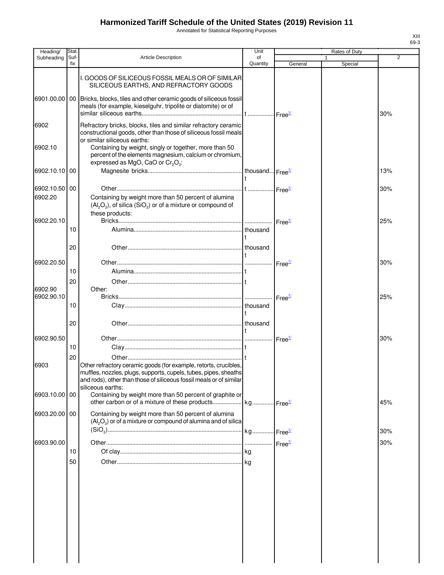Annotated for Statistical Reporting Purposes

| Heading/                 | Stat.       |                                                                                                                                                                                                                                  | Unit           |                            |   | Rates of Duty |            |
|--------------------------|-------------|----------------------------------------------------------------------------------------------------------------------------------------------------------------------------------------------------------------------------------|----------------|----------------------------|---|---------------|------------|
| Subheading               | Suf-<br>fix | <b>Article Description</b>                                                                                                                                                                                                       | of<br>Quantity | General                    | 1 | Special       | 2          |
|                          |             | I. GOODS OF SILICEOUS FOSSIL MEALS OR OF SIMILAR<br>SILICEOUS EARTHS, AND REFRACTORY GOODS                                                                                                                                       |                |                            |   |               |            |
| 6901.00.00               |             | 00 Bricks, blocks, tiles and other ceramic goods of siliceous fossil<br>meals (for example, kieselguhr, tripolite or diatomite) or of                                                                                            |                |                            |   |               | 30%        |
| 6902                     |             | Refractory bricks, blocks, tiles and similar refractory ceramic<br>constructional goods, other than those of siliceous fossil meals<br>or similar siliceous earths:                                                              |                |                            |   |               |            |
| 6902.10                  |             | Containing by weight, singly or together, more than 50<br>percent of the elements magnesium, calcium or chromium,<br>expressed as MgO, CaO or $Cr_2O_3$ :                                                                        |                |                            |   |               |            |
| 6902.10.10 00            |             |                                                                                                                                                                                                                                  |                |                            |   |               | 13%        |
| 6902.10.50 00<br>6902.20 |             | Containing by weight more than 50 percent of alumina<br>$(Al_2O_3)$ , of silica $(SiO_2)$ or of a mixture or compound of<br>these products:                                                                                      |                |                            |   |               | 30%        |
| 6902.20.10               | 10          |                                                                                                                                                                                                                                  | thousand       | Free <sup>1/</sup>         |   |               | 25%        |
|                          |             |                                                                                                                                                                                                                                  |                |                            |   |               |            |
|                          | 20          |                                                                                                                                                                                                                                  |                |                            |   |               |            |
| 6902.20.50               | 10          |                                                                                                                                                                                                                                  |                | $\cdot$ Free $\frac{1}{2}$ |   |               | 30%        |
|                          | 20          |                                                                                                                                                                                                                                  |                |                            |   |               |            |
| 6902.90<br>6902.90.10    |             | Other:                                                                                                                                                                                                                           |                | Free <sup>1/</sup>         |   |               | 25%        |
|                          | 10          |                                                                                                                                                                                                                                  |                |                            |   |               |            |
|                          | 20          |                                                                                                                                                                                                                                  |                |                            |   |               |            |
| 6902.90.50               | 10          |                                                                                                                                                                                                                                  |                | $r = \frac{1}{2}$          |   |               | 30%        |
|                          | 20          |                                                                                                                                                                                                                                  |                |                            |   |               |            |
| 6903                     |             | Other refractory ceramic goods (for example, retorts, crucibles,<br>muffles, nozzles, plugs, supports, cupels, tubes, pipes, sheaths<br>and rods), other than those of siliceous fossil meals or of similar<br>siliceous earths: |                |                            |   |               |            |
| 6903.10.00 00            |             | Containing by weight more than 50 percent of graphite or                                                                                                                                                                         |                |                            |   |               | 45%        |
| 6903.20.00 00            |             | Containing by weight more than 50 percent of alumina<br>$(Al_2O_3)$ or of a mixture or compound of alumina and of silica                                                                                                         |                |                            |   |               |            |
| 6903.90.00               |             |                                                                                                                                                                                                                                  |                | Free <sup>1/</sup>         |   |               | 30%<br>30% |
|                          | 10          |                                                                                                                                                                                                                                  |                |                            |   |               |            |
|                          | 50          |                                                                                                                                                                                                                                  |                |                            |   |               |            |
|                          |             |                                                                                                                                                                                                                                  |                |                            |   |               |            |
|                          |             |                                                                                                                                                                                                                                  |                |                            |   |               |            |
|                          |             |                                                                                                                                                                                                                                  |                |                            |   |               |            |
|                          |             |                                                                                                                                                                                                                                  |                |                            |   |               |            |
|                          |             |                                                                                                                                                                                                                                  |                |                            |   |               |            |
|                          |             |                                                                                                                                                                                                                                  |                |                            |   |               |            |
|                          |             |                                                                                                                                                                                                                                  |                |                            |   |               |            |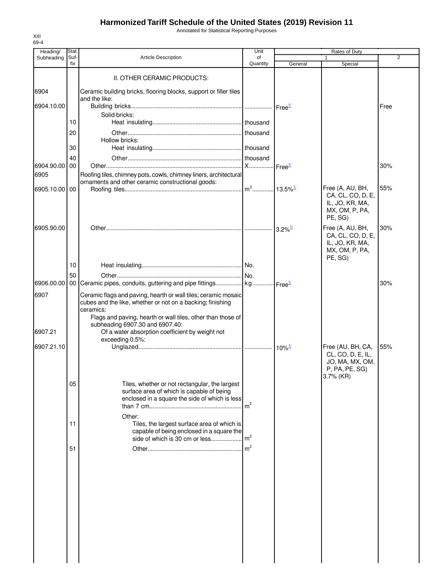Annotated for Statistical Reporting Purposes

| Heading/           | Stat.       |                                                                                                                                                   | Unit           |                        | Rates of Duty                                                                         |      |
|--------------------|-------------|---------------------------------------------------------------------------------------------------------------------------------------------------|----------------|------------------------|---------------------------------------------------------------------------------------|------|
| Subheading         | Suf-<br>fix | <b>Article Description</b>                                                                                                                        | of<br>Quantity | General                | 1<br>Special                                                                          | 2    |
|                    |             | II. OTHER CERAMIC PRODUCTS:                                                                                                                       |                |                        |                                                                                       |      |
| 6904               |             | Ceramic building bricks, flooring blocks, support or filler tiles<br>and the like:                                                                |                |                        |                                                                                       |      |
| 6904.10.00         |             | Solid bricks:                                                                                                                                     |                | $I$ Free $\frac{1}{2}$ |                                                                                       | Free |
|                    | 10          |                                                                                                                                                   |                |                        |                                                                                       |      |
|                    | 20          | Hollow bricks:                                                                                                                                    |                |                        |                                                                                       |      |
|                    | 30<br>40    |                                                                                                                                                   |                |                        |                                                                                       |      |
| 6904.90.00<br>6905 | 00          | Roofing tiles, chimney pots, cowls, chimney liners, architectural                                                                                 |                |                        |                                                                                       | 30%  |
| 6905.10.00 00      |             | ornaments and other ceramic constructional goods:                                                                                                 |                |                        | Free (A, AU, BH,<br>CA, CL, CO, D, E,<br>IL, JO, KR, MA,                              | 55%  |
|                    |             |                                                                                                                                                   |                |                        | MX, OM, P, PA,<br>PE, SG)                                                             |      |
| 6905.90.00         |             |                                                                                                                                                   |                | $3.2\%$ <sup>1/</sup>  | Free (A, AU, BH,<br>CA, CL, CO, D, E,<br>IL, JO, KR, MA,<br>MX, OM, P, PA,<br>PE, SG) | 30%  |
|                    | 10          |                                                                                                                                                   |                |                        |                                                                                       |      |
| 6906.00.00         | 50          |                                                                                                                                                   |                |                        |                                                                                       | 30%  |
| 6907               |             | Ceramic flags and paving, hearth or wall tiles; ceramic mosaic<br>cubes and the like, whether or not on a backing; finishing<br>ceramics:         |                |                        |                                                                                       |      |
| 6907.21            |             | Flags and paving, hearth or wall tiles, other than those of<br>subheading 6907.30 and 6907.40:<br>Of a water absorption coefficient by weight not |                |                        |                                                                                       |      |
| 6907.21.10         |             | exceeding 0.5%:                                                                                                                                   |                |                        | Free (AU, BH, CA,                                                                     | 55%  |
|                    |             |                                                                                                                                                   |                |                        | CL, CO, D, E, IL,<br>JO, MA, MX, OM,<br>P, PA, PE, SG)<br>3.7% (KR)                   |      |
|                    | 05          | Tiles, whether or not rectangular, the largest<br>surface area of which is capable of being<br>enclosed in a square the side of which is less     |                |                        |                                                                                       |      |
|                    | 11          | Other:<br>Tiles, the largest surface area of which is<br>capable of being enclosed in a square the                                                |                |                        |                                                                                       |      |
|                    | 51          |                                                                                                                                                   |                |                        |                                                                                       |      |
|                    |             |                                                                                                                                                   |                |                        |                                                                                       |      |
|                    |             |                                                                                                                                                   |                |                        |                                                                                       |      |
|                    |             |                                                                                                                                                   |                |                        |                                                                                       |      |
|                    |             |                                                                                                                                                   |                |                        |                                                                                       |      |
|                    |             |                                                                                                                                                   |                |                        |                                                                                       |      |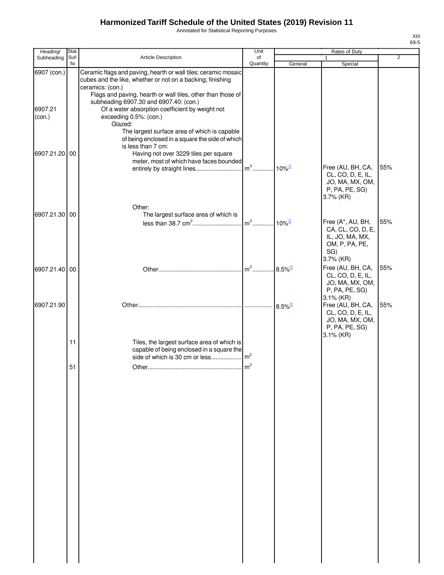Annotated for Statistical Reporting Purposes

| ×<br>۰.<br>۰,<br>۰. |
|---------------------|

| Heading/          | Stat.       |                                                                                                                                                                                                        | Unit                              |                      |                                                                                             |                |
|-------------------|-------------|--------------------------------------------------------------------------------------------------------------------------------------------------------------------------------------------------------|-----------------------------------|----------------------|---------------------------------------------------------------------------------------------|----------------|
| Subheading        | Suf-<br>fix | Article Description                                                                                                                                                                                    | of<br>Quantity                    |                      | 1                                                                                           | $\overline{2}$ |
| 6907 (con.)       |             | Ceramic flags and paving, hearth or wall tiles; ceramic mosaic<br>cubes and the like, whether or not on a backing; finishing                                                                           |                                   | General              | Special                                                                                     |                |
| 6907.21<br>(con.) |             | ceramics: (con.)<br>Flags and paving, hearth or wall tiles, other than those of<br>subheading 6907.30 and 6907.40: (con.)<br>Of a water absorption coefficient by weight not<br>exceeding 0.5%: (con.) |                                   |                      |                                                                                             |                |
|                   |             | Glazed:<br>The largest surface area of which is capable<br>of being enclosed in a square the side of which                                                                                             |                                   |                      |                                                                                             |                |
| 6907.21.20 00     |             | is less than 7 cm:<br>Having not over 3229 tiles per square<br>meter, most of which have faces bounded                                                                                                 |                                   | $10\%$ <sup>1/</sup> | Free (AU, BH, CA,                                                                           | 55%            |
|                   |             |                                                                                                                                                                                                        |                                   |                      | CL, CO, D, E, IL,<br>JO, MA, MX, OM,<br>P, PA, PE, SG)<br>$3.7\%$ (KR)                      |                |
| 6907.21.30 00     |             | Other:                                                                                                                                                                                                 |                                   |                      |                                                                                             |                |
|                   |             | The largest surface area of which is                                                                                                                                                                   | $m2$                              | $10\%$ <sup>1/</sup> | Free (A*, AU, BH,<br>CA, CL, CO, D, E,<br>IL, JO, MA, MX,<br>OM, P, PA, PE,<br>SG)          | 55%            |
| 6907.21.40 00     |             |                                                                                                                                                                                                        | m <sup>2</sup> 8.5% <sup>1/</sup> |                      | $3.7\%$ (KR)<br>Free (AU, BH, CA,<br>CL, CO, D, E, IL,<br>JO, MA, MX, OM,<br>P, PA, PE, SG) | 55%            |
| 6907.21.90        |             |                                                                                                                                                                                                        |                                   |                      | 3.1% (KR)<br>Free (AU, BH, CA,<br>CL, CO, D, E, IL,<br>JO, MA, MX, OM,<br>P, PA, PE, SG)    | 55%            |
|                   | 11          | Tiles, the largest surface area of which is<br>capable of being enclosed in a square the                                                                                                               |                                   |                      | 3.1% (KR)                                                                                   |                |
|                   | 51          |                                                                                                                                                                                                        |                                   |                      |                                                                                             |                |
|                   |             |                                                                                                                                                                                                        |                                   |                      |                                                                                             |                |
|                   |             |                                                                                                                                                                                                        |                                   |                      |                                                                                             |                |
|                   |             |                                                                                                                                                                                                        |                                   |                      |                                                                                             |                |
|                   |             |                                                                                                                                                                                                        |                                   |                      |                                                                                             |                |
|                   |             |                                                                                                                                                                                                        |                                   |                      |                                                                                             |                |
|                   |             |                                                                                                                                                                                                        |                                   |                      |                                                                                             |                |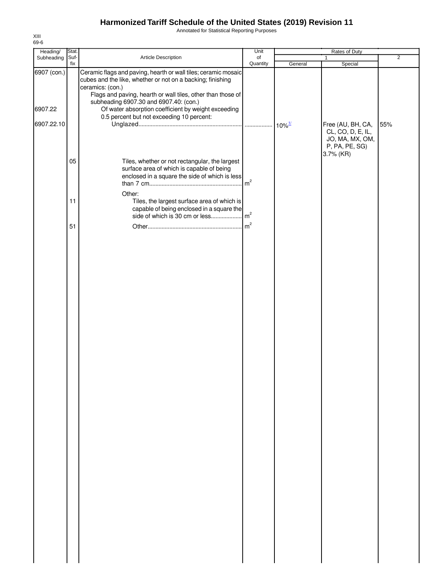Annotated for Statistical Reporting Purposes

| Heading/    | Stat.       |                                                                                                                                                                                                                                                           | Unit           |         | Rates of Duty                                                                            |                |
|-------------|-------------|-----------------------------------------------------------------------------------------------------------------------------------------------------------------------------------------------------------------------------------------------------------|----------------|---------|------------------------------------------------------------------------------------------|----------------|
| Subheading  | Suf-<br>fix | Article Description                                                                                                                                                                                                                                       | of<br>Quantity | General | $\mathbf{1}$<br>Special                                                                  | $\overline{2}$ |
| 6907 (con.) |             | Ceramic flags and paving, hearth or wall tiles; ceramic mosaic<br>cubes and the like, whether or not on a backing; finishing<br>ceramics: (con.)<br>Flags and paving, hearth or wall tiles, other than those of<br>subheading 6907.30 and 6907.40: (con.) |                |         |                                                                                          |                |
| 6907.22     |             | Of water absorption coefficient by weight exceeding<br>0.5 percent but not exceeding 10 percent:                                                                                                                                                          |                |         |                                                                                          |                |
| 6907.22.10  |             |                                                                                                                                                                                                                                                           |                |         | Free (AU, BH, CA,<br>CL, CO, D, E, IL,<br>JO, MA, MX, OM,<br>P, PA, PE, SG)<br>3.7% (KR) | 55%            |
|             | 05          | Tiles, whether or not rectangular, the largest<br>surface area of which is capable of being<br>enclosed in a square the side of which is less                                                                                                             |                |         |                                                                                          |                |
|             | 11          | Other:<br>Tiles, the largest surface area of which is<br>capable of being enclosed in a square the                                                                                                                                                        |                |         |                                                                                          |                |
|             | 51          |                                                                                                                                                                                                                                                           |                |         |                                                                                          |                |
|             |             |                                                                                                                                                                                                                                                           |                |         |                                                                                          |                |
|             |             |                                                                                                                                                                                                                                                           |                |         |                                                                                          |                |
|             |             |                                                                                                                                                                                                                                                           |                |         |                                                                                          |                |
|             |             |                                                                                                                                                                                                                                                           |                |         |                                                                                          |                |
|             |             |                                                                                                                                                                                                                                                           |                |         |                                                                                          |                |
|             |             |                                                                                                                                                                                                                                                           |                |         |                                                                                          |                |
|             |             |                                                                                                                                                                                                                                                           |                |         |                                                                                          |                |
|             |             |                                                                                                                                                                                                                                                           |                |         |                                                                                          |                |
|             |             |                                                                                                                                                                                                                                                           |                |         |                                                                                          |                |
|             |             |                                                                                                                                                                                                                                                           |                |         |                                                                                          |                |
|             |             |                                                                                                                                                                                                                                                           |                |         |                                                                                          |                |
|             |             |                                                                                                                                                                                                                                                           |                |         |                                                                                          |                |
|             |             |                                                                                                                                                                                                                                                           |                |         |                                                                                          |                |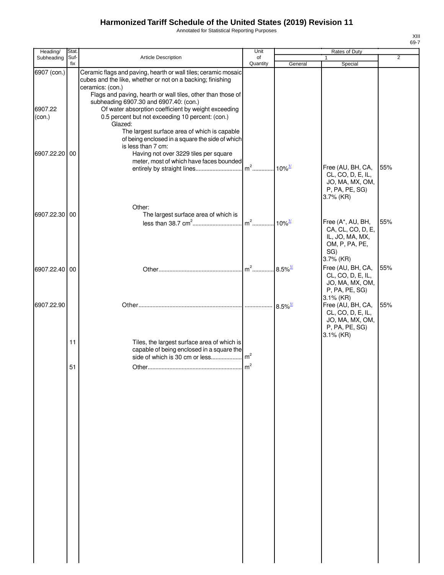Annotated for Statistical Reporting Purposes

| ×<br>۰.<br>×<br>۰. |  |
|--------------------|--|

| Heading/          | Stat.       |                                                                                                                                                                                                                  | Unit           |                       |                                                                                             |                |
|-------------------|-------------|------------------------------------------------------------------------------------------------------------------------------------------------------------------------------------------------------------------|----------------|-----------------------|---------------------------------------------------------------------------------------------|----------------|
| Subheading        | Suf-<br>fix | <b>Article Description</b>                                                                                                                                                                                       | of<br>Quantity | General               | 1<br>Special                                                                                | $\overline{2}$ |
| 6907 (con.)       |             | Ceramic flags and paving, hearth or wall tiles; ceramic mosaic<br>cubes and the like, whether or not on a backing; finishing<br>ceramics: (con.)                                                                 |                |                       |                                                                                             |                |
| 6907.22<br>(con.) |             | Flags and paving, hearth or wall tiles, other than those of<br>subheading 6907.30 and 6907.40: (con.)<br>Of water absorption coefficient by weight exceeding<br>0.5 percent but not exceeding 10 percent: (con.) |                |                       |                                                                                             |                |
|                   |             | Glazed:<br>The largest surface area of which is capable<br>of being enclosed in a square the side of which<br>is less than 7 cm:                                                                                 |                |                       |                                                                                             |                |
| 6907.22.20        | 00          | Having not over 3229 tiles per square<br>meter, most of which have faces bounded                                                                                                                                 |                |                       | Free (AU, BH, CA,<br>CL, CO, D, E, IL,                                                      | 55%            |
|                   |             |                                                                                                                                                                                                                  |                |                       | JO, MA, MX, OM,<br>P, PA, PE, SG)<br>3.7% (KR)                                              |                |
|                   |             | Other:                                                                                                                                                                                                           |                |                       |                                                                                             |                |
| 6907.22.30 00     |             | The largest surface area of which is                                                                                                                                                                             | $m2$           |                       | Free (A*, AU, BH,                                                                           | 55%            |
|                   |             |                                                                                                                                                                                                                  |                | $10\%$ <sup>1/</sup>  | CA, CL, CO, D, E,<br>IL, JO, MA, MX,<br>OM, P, PA, PE,<br>SG)<br>$3.7\%$ (KR)               |                |
| 6907.22.40 00     |             |                                                                                                                                                                                                                  |                |                       | Free (AU, BH, CA,                                                                           | 55%            |
|                   |             |                                                                                                                                                                                                                  |                |                       | CL, CO, D, E, IL,<br>JO, MA, MX, OM,<br>P, PA, PE, SG)<br>$3.1\%$ (KR)                      |                |
| 6907.22.90        |             |                                                                                                                                                                                                                  |                | $8.5\%$ <sup>1/</sup> | Free (AU, BH, CA,<br>CL, CO, D, E, IL,<br>JO, MA, MX, OM,<br>P, PA, PE, SG)<br>$3.1\%$ (KR) | 55%            |
|                   | 11          | Tiles, the largest surface area of which is<br>capable of being enclosed in a square the                                                                                                                         |                |                       |                                                                                             |                |
|                   | 51          |                                                                                                                                                                                                                  | m <sup>2</sup> |                       |                                                                                             |                |
|                   |             |                                                                                                                                                                                                                  |                |                       |                                                                                             |                |
|                   |             |                                                                                                                                                                                                                  |                |                       |                                                                                             |                |
|                   |             |                                                                                                                                                                                                                  |                |                       |                                                                                             |                |
|                   |             |                                                                                                                                                                                                                  |                |                       |                                                                                             |                |
|                   |             |                                                                                                                                                                                                                  |                |                       |                                                                                             |                |
|                   |             |                                                                                                                                                                                                                  |                |                       |                                                                                             |                |
|                   |             |                                                                                                                                                                                                                  |                |                       |                                                                                             |                |
|                   |             |                                                                                                                                                                                                                  |                |                       |                                                                                             |                |
|                   |             |                                                                                                                                                                                                                  |                |                       |                                                                                             |                |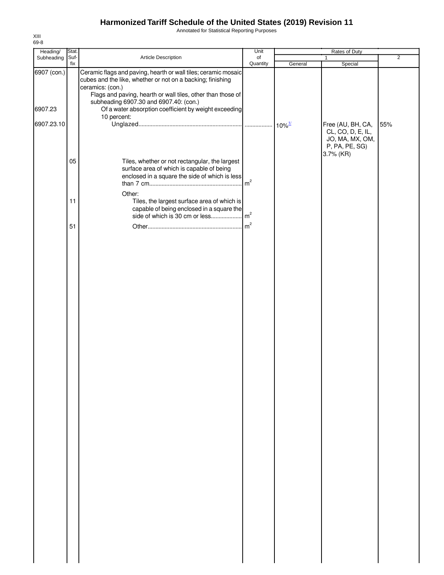Annotated for Statistical Reporting Purposes

| Heading/    | Stat.       |                                                                                                                                                                                                                                                           | Unit           |         |                                                                                          |                |
|-------------|-------------|-----------------------------------------------------------------------------------------------------------------------------------------------------------------------------------------------------------------------------------------------------------|----------------|---------|------------------------------------------------------------------------------------------|----------------|
| Subheading  | Suf-<br>fix | Article Description                                                                                                                                                                                                                                       | of<br>Quantity | General | 1<br>Special                                                                             | $\overline{2}$ |
| 6907 (con.) |             | Ceramic flags and paving, hearth or wall tiles; ceramic mosaic<br>cubes and the like, whether or not on a backing; finishing<br>ceramics: (con.)<br>Flags and paving, hearth or wall tiles, other than those of<br>subheading 6907.30 and 6907.40: (con.) |                |         |                                                                                          |                |
| 6907.23     |             | Of a water absorption coefficient by weight exceeding<br>10 percent:                                                                                                                                                                                      |                |         |                                                                                          |                |
| 6907.23.10  |             |                                                                                                                                                                                                                                                           |                |         | Free (AU, BH, CA,<br>CL, CO, D, E, IL,<br>JO, MA, MX, OM,<br>P, PA, PE, SG)<br>3.7% (KR) | 55%            |
|             | 05          | Tiles, whether or not rectangular, the largest<br>surface area of which is capable of being<br>enclosed in a square the side of which is less                                                                                                             |                |         |                                                                                          |                |
|             | 11          | Other:<br>Tiles, the largest surface area of which is<br>capable of being enclosed in a square the                                                                                                                                                        |                |         |                                                                                          |                |
|             | 51          |                                                                                                                                                                                                                                                           |                |         |                                                                                          |                |
|             |             |                                                                                                                                                                                                                                                           |                |         |                                                                                          |                |
|             |             |                                                                                                                                                                                                                                                           |                |         |                                                                                          |                |
|             |             |                                                                                                                                                                                                                                                           |                |         |                                                                                          |                |
|             |             |                                                                                                                                                                                                                                                           |                |         |                                                                                          |                |
|             |             |                                                                                                                                                                                                                                                           |                |         |                                                                                          |                |
|             |             |                                                                                                                                                                                                                                                           |                |         |                                                                                          |                |
|             |             |                                                                                                                                                                                                                                                           |                |         |                                                                                          |                |
|             |             |                                                                                                                                                                                                                                                           |                |         |                                                                                          |                |
|             |             |                                                                                                                                                                                                                                                           |                |         |                                                                                          |                |
|             |             |                                                                                                                                                                                                                                                           |                |         |                                                                                          |                |
|             |             |                                                                                                                                                                                                                                                           |                |         |                                                                                          |                |
|             |             |                                                                                                                                                                                                                                                           |                |         |                                                                                          |                |
|             |             |                                                                                                                                                                                                                                                           |                |         |                                                                                          |                |
|             |             |                                                                                                                                                                                                                                                           |                |         |                                                                                          |                |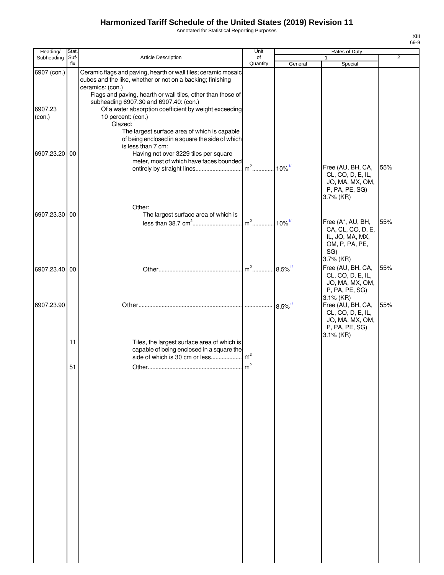Annotated for Statistical Reporting Purposes

| ۰.<br>۰.<br>۰, |
|----------------|

| Heading/          | Stat.       |                                                                                                                                                                                                                      | Unit           |                       |                                                                                                 |                |
|-------------------|-------------|----------------------------------------------------------------------------------------------------------------------------------------------------------------------------------------------------------------------|----------------|-----------------------|-------------------------------------------------------------------------------------------------|----------------|
| Subheading        | Suf-<br>fix | Article Description                                                                                                                                                                                                  | of<br>Quantity | General               | $\mathbf{1}$<br>Special                                                                         | $\overline{2}$ |
| 6907 (con.)       |             | Ceramic flags and paving, hearth or wall tiles; ceramic mosaic<br>cubes and the like, whether or not on a backing; finishing<br>ceramics: (con.)<br>Flags and paving, hearth or wall tiles, other than those of      |                |                       |                                                                                                 |                |
| 6907.23<br>(con.) |             | subheading 6907.30 and 6907.40: (con.)<br>Of a water absorption coefficient by weight exceeding<br>10 percent: (con.)                                                                                                |                |                       |                                                                                                 |                |
| 6907.23.20 00     |             | Glazed:<br>The largest surface area of which is capable<br>of being enclosed in a square the side of which<br>is less than 7 cm:<br>Having not over 3229 tiles per square<br>meter, most of which have faces bounded |                |                       | Free (AU, BH, CA,<br>CL, CO, D, E, IL,<br>JO, MA, MX, OM,                                       | 55%            |
| 6907.23.30 00     |             | Other:<br>The largest surface area of which is                                                                                                                                                                       |                |                       | P, PA, PE, SG)<br>$3.7\%$ (KR)                                                                  |                |
|                   |             |                                                                                                                                                                                                                      | $m2$           | $10\%$ <sup>1/</sup>  | Free (A*, AU, BH,<br>CA, CL, CO, D, E,<br>IL, JO, MA, MX,<br>OM, P, PA, PE,<br>SG)<br>3.7% (KR) | 55%            |
| 6907.23.40 00     |             |                                                                                                                                                                                                                      | $m^2$          | $8.5\%$ <sup>1/</sup> | Free (AU, BH, CA,<br>CL, CO, D, E, IL,<br>JO, MA, MX, OM,<br>P, PA, PE, SG)<br>3.1% (KR)        | 55%            |
| 6907.23.90        |             |                                                                                                                                                                                                                      |                |                       | Free (AU, BH, CA,<br>CL, CO, D, E, IL,<br>JO, MA, MX, OM,<br>P, PA, PE, SG)                     | 55%            |
|                   | 11          | Tiles, the largest surface area of which is<br>capable of being enclosed in a square the                                                                                                                             |                |                       | $3.1\%$ (KR)                                                                                    |                |
|                   | 51          |                                                                                                                                                                                                                      | m <sup>2</sup> |                       |                                                                                                 |                |
|                   |             |                                                                                                                                                                                                                      |                |                       |                                                                                                 |                |
|                   |             |                                                                                                                                                                                                                      |                |                       |                                                                                                 |                |
|                   |             |                                                                                                                                                                                                                      |                |                       |                                                                                                 |                |
|                   |             |                                                                                                                                                                                                                      |                |                       |                                                                                                 |                |
|                   |             |                                                                                                                                                                                                                      |                |                       |                                                                                                 |                |
|                   |             |                                                                                                                                                                                                                      |                |                       |                                                                                                 |                |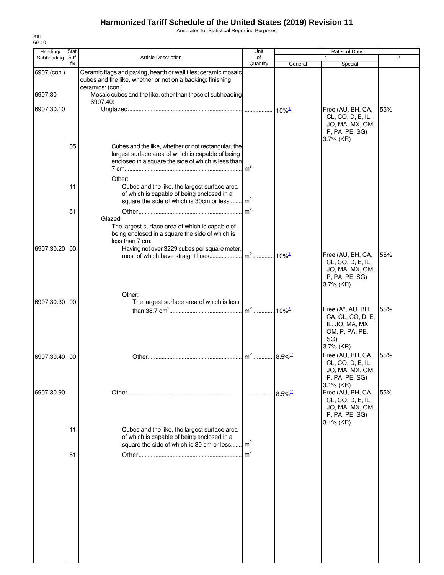Annotated for Statistical Reporting Purposes

| Heading/      | Stat.       |                                                                                                                                                                           | Unit           |                                            | Rates of Duty                                                                                                 |                |
|---------------|-------------|---------------------------------------------------------------------------------------------------------------------------------------------------------------------------|----------------|--------------------------------------------|---------------------------------------------------------------------------------------------------------------|----------------|
| Subheading    | Suf-<br>fix | Article Description                                                                                                                                                       | of<br>Quantity | General                                    | Special                                                                                                       | $\overline{2}$ |
| 6907 (con.)   |             | Ceramic flags and paving, hearth or wall tiles; ceramic mosaic<br>cubes and the like, whether or not on a backing; finishing                                              |                |                                            |                                                                                                               |                |
| 6907.30       |             | ceramics: (con.)<br>Mosaic cubes and the like, other than those of subheading                                                                                             |                |                                            |                                                                                                               |                |
| 6907.30.10    |             | 6907.40:                                                                                                                                                                  |                | $10\%$ <sup><math>\frac{1}{2}</math></sup> | Free (AU, BH, CA,<br>CL, CO, D, E, IL,<br>JO, MA, MX, OM,<br>P, PA, PE, SG)<br>3.7% (KR)                      | 55%            |
|               | 05          | Cubes and the like, whether or not rectangular, the<br>largest surface area of which is capable of being<br>enclosed in a square the side of which is less than<br>Other: | m <sup>2</sup> |                                            |                                                                                                               |                |
|               | 11          | Cubes and the like, the largest surface area<br>of which is capable of being enclosed in a<br>square the side of which is 30cm or less                                    | $\rm{m}^2$     |                                            |                                                                                                               |                |
|               | 51          | Glazed:<br>The largest surface area of which is capable of<br>being enclosed in a square the side of which is                                                             | m <sup>2</sup> |                                            |                                                                                                               |                |
| 6907.30.20    | 00          | less than 7 cm:<br>Having not over 3229 cubes per square meter,                                                                                                           |                | $10\%$ <sup>1/</sup>                       | Free (AU, BH, CA,<br>CL, CO, D, E, IL,<br>JO, MA, MX, OM,<br>P, PA, PE, SG)                                   | 55%            |
| 6907.30.30    | 00          | Other:<br>The largest surface area of which is less                                                                                                                       | $m2$           | $10\%$ <sup>1/</sup>                       | 3.7% (KR)<br>Free (A*, AU, BH,<br>CA, CL, CO, D, E,<br>IL, JO, MA, MX,<br>OM, P, PA, PE,                      | 55%            |
| 6907.30.40 00 |             |                                                                                                                                                                           | $m2$           | $.8.5\%$ <sup>1/</sup>                     | SG)<br>3.7% (KR)<br>Free (AU, BH, CA,<br>CL, CO, D, E, IL,<br>JO, MA, MX, OM,                                 | 55%            |
| 6907.30.90    |             |                                                                                                                                                                           |                | $8.5\%$ <sup>1/</sup>                      | P, PA, PE, SG)<br>$3.1\%$ (KR)<br>Free (AU, BH, CA,<br>CL, CO, D, E, IL,<br>JO, MA, MX, OM,<br>P, PA, PE, SG) | 55%            |
|               | 11          | Cubes and the like, the largest surface area<br>of which is capable of being enclosed in a<br>square the side of which is 30 cm or less $\left  \mathbf{m}^2 \right $     |                |                                            | 3.1% (KR)                                                                                                     |                |
|               | 51          |                                                                                                                                                                           | m <sup>2</sup> |                                            |                                                                                                               |                |
|               |             |                                                                                                                                                                           |                |                                            |                                                                                                               |                |
|               |             |                                                                                                                                                                           |                |                                            |                                                                                                               |                |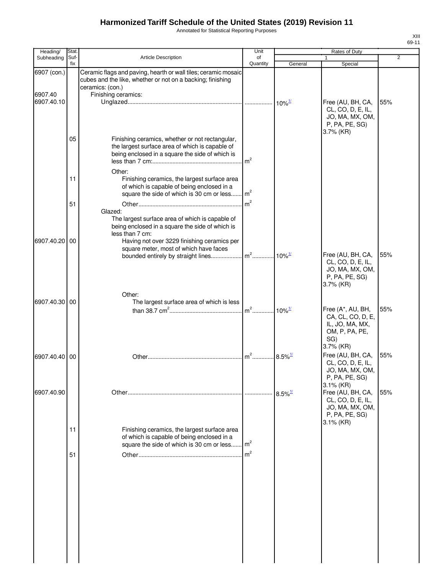Annotated for Statistical Reporting Purposes

| Heading/              | Stat.       |                                                                                                                                                               | Unit           |                                            | Rates of Duty                                                                            |                |
|-----------------------|-------------|---------------------------------------------------------------------------------------------------------------------------------------------------------------|----------------|--------------------------------------------|------------------------------------------------------------------------------------------|----------------|
| Subheading            | Suf-<br>fix | Article Description                                                                                                                                           | of             |                                            |                                                                                          | $\overline{2}$ |
| 6907 (con.)           |             | Ceramic flags and paving, hearth or wall tiles; ceramic mosaic<br>cubes and the like, whether or not on a backing; finishing                                  | Quantity       | General                                    | Special                                                                                  |                |
| 6907.40<br>6907.40.10 |             | ceramics: (con.)<br>Finishing ceramics:                                                                                                                       |                | $10\%$ <sup><math>\frac{1}{2}</math></sup> | Free (AU, BH, CA,<br>CL, CO, D, E, IL,<br>JO, MA, MX, OM,<br>P, PA, PE, SG)              | 55%            |
|                       | 05          | Finishing ceramics, whether or not rectangular,<br>the largest surface area of which is capable of<br>being enclosed in a square the side of which is         | m <sup>2</sup> |                                            | 3.7% (KR)                                                                                |                |
|                       | 11          | Other:<br>Finishing ceramics, the largest surface area<br>of which is capable of being enclosed in a<br>square the side of which is 30 cm or less             | m <sup>2</sup> |                                            |                                                                                          |                |
|                       | 51          | Glazed:<br>The largest surface area of which is capable of<br>being enclosed in a square the side of which is                                                 |                |                                            |                                                                                          |                |
| 6907.40.20 00         |             | less than 7 cm:<br>Having not over 3229 finishing ceramics per<br>square meter, most of which have faces<br>bounded entirely by straight lines m <sup>2</sup> |                | $10\%$ <sup>1/</sup>                       | Free (AU, BH, CA,<br>CL, CO, D, E, IL,<br>JO, MA, MX, OM,                                | 55%            |
| 6907.40.30 00         |             | Other:<br>The largest surface area of which is less                                                                                                           |                |                                            | P, PA, PE, SG)<br>3.7% (KR)<br>Free (A*, AU, BH,<br>CA, CL, CO, D, E,<br>IL, JO, MA, MX, | 55%            |
|                       |             |                                                                                                                                                               |                |                                            | OM, P, PA, PE,<br>SG)<br>3.7% (KR)                                                       |                |
| 6907.40.40 00         |             |                                                                                                                                                               |                | $8.5\%$ <sup>1/</sup>                      | Free (AU, BH, CA,<br>CL, CO, D, E, IL,<br>JO, MA, MX, OM,<br>P, PA, PE, SG)<br>3.1% (KR) | 55%            |
| 6907.40.90            |             |                                                                                                                                                               |                | $8.5\%$ <sup>1/</sup>                      | Free (AU, BH, CA,<br>CL, CO, D, E, IL,<br>JO, MA, MX, OM,<br>P, PA, PE, SG)              | 55%            |
|                       | 11          | Finishing ceramics, the largest surface area<br>of which is capable of being enclosed in a<br>square the side of which is 30 cm or less                       | m <sup>2</sup> |                                            | $3.1\%$ (KR)                                                                             |                |
|                       | 51          |                                                                                                                                                               |                |                                            |                                                                                          |                |
|                       |             |                                                                                                                                                               |                |                                            |                                                                                          |                |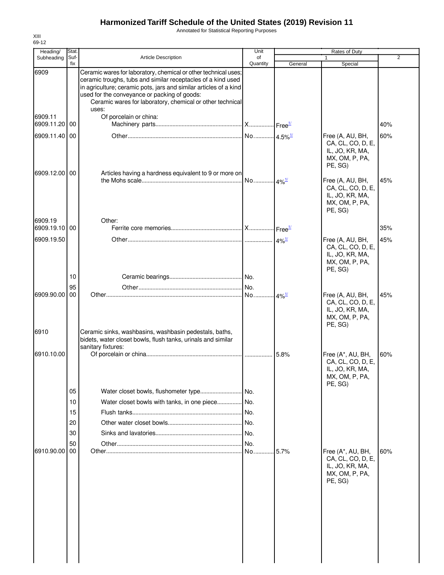Annotated for Statistical Reporting Purposes

| Heading/                 | Stat.       |                                                                                                                                                                                                                                                                                                                            | Unit            |                          | Rates of Duty                                                                          |                |
|--------------------------|-------------|----------------------------------------------------------------------------------------------------------------------------------------------------------------------------------------------------------------------------------------------------------------------------------------------------------------------------|-----------------|--------------------------|----------------------------------------------------------------------------------------|----------------|
| Subheading               | Suf-<br>fix | Article Description                                                                                                                                                                                                                                                                                                        | of<br>Quantity  | General                  | $\mathbf{1}$<br>Special                                                                | $\overline{2}$ |
| 6909                     |             | Ceramic wares for laboratory, chemical or other technical uses;<br>ceramic troughs, tubs and similar receptacles of a kind used<br>in agriculture; ceramic pots, jars and similar articles of a kind<br>used for the conveyance or packing of goods:<br>Ceramic wares for laboratory, chemical or other technical<br>uses: |                 |                          |                                                                                        |                |
| 6909.11<br>6909.11.20    | 00          | Of porcelain or china:                                                                                                                                                                                                                                                                                                     |                 |                          |                                                                                        | 40%            |
| 6909.11.40 00            |             |                                                                                                                                                                                                                                                                                                                            |                 |                          | Free (A, AU, BH,<br>CA, CL, CO, D, E,<br>IL, JO, KR, MA,<br>MX, OM, P, PA,<br>PE, SG)  | 60%            |
| 6909.12.00 00            |             | Articles having a hardness equivalent to 9 or more on                                                                                                                                                                                                                                                                      |                 |                          | Free (A, AU, BH,<br>CA, CL, CO, D, E,<br>IL, JO, KR, MA,<br>MX, OM, P, PA,<br>PE, SG)  | 45%            |
| 6909.19<br>6909.19.10 00 |             | Other:                                                                                                                                                                                                                                                                                                                     |                 |                          |                                                                                        | 35%            |
| 6909.19.50               |             |                                                                                                                                                                                                                                                                                                                            |                 |                          | Free (A, AU, BH,<br>CA, CL, CO, D, E,<br>IL, JO, KR, MA,<br>MX, OM, P, PA,<br>PE, SG)  | 45%            |
|                          | 10          |                                                                                                                                                                                                                                                                                                                            |                 |                          |                                                                                        |                |
| 6909.90.00               | 95<br>00    |                                                                                                                                                                                                                                                                                                                            |                 | $\cdot$ 4% $\frac{1}{2}$ | Free (A, AU, BH,<br>CA, CL, CO, D, E,<br>IL, JO, KR, MA,<br>MX, OM, P, PA,<br>PE, SG)  | 45%            |
| 6910                     |             | Ceramic sinks, washbasins, washbasin pedestals, baths,<br>bidets, water closet bowls, flush tanks, urinals and similar<br>sanitary fixtures:                                                                                                                                                                               |                 |                          |                                                                                        |                |
| 6910.10.00               |             |                                                                                                                                                                                                                                                                                                                            |                 | 5.8%                     | Free (A*, AU, BH,<br>CA, CL, CO, D, E,<br>IL, JO, KR, MA,<br>MX, OM, P, PA,<br>PE. SG) | 60%            |
|                          | 05          |                                                                                                                                                                                                                                                                                                                            | INo.            |                          |                                                                                        |                |
|                          | 10          | Water closet bowls with tanks, in one piece No.                                                                                                                                                                                                                                                                            |                 |                          |                                                                                        |                |
|                          | 15<br>20    |                                                                                                                                                                                                                                                                                                                            | .I No.<br>.lNo. |                          |                                                                                        |                |
|                          | 30          |                                                                                                                                                                                                                                                                                                                            |                 |                          |                                                                                        |                |
|                          | 50          |                                                                                                                                                                                                                                                                                                                            | No.             |                          |                                                                                        |                |
| 6910.90.00               | 00          |                                                                                                                                                                                                                                                                                                                            | No.             | 5.7%                     | Free (A*, AU, BH,<br>CA, CL, CO, D, E,<br>IL, JO, KR, MA,<br>MX, OM, P, PA,<br>PE, SG) | 60%            |
|                          |             |                                                                                                                                                                                                                                                                                                                            |                 |                          |                                                                                        |                |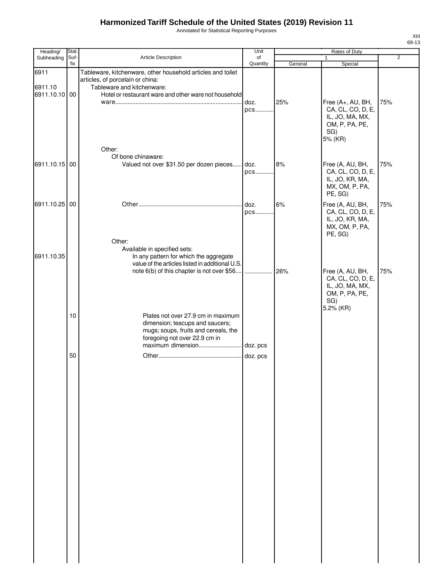Annotated for Statistical Reporting Purposes

| Heading/                 | Stat. |                                                                                           | Unit     |         | Rates of Duty     |                |
|--------------------------|-------|-------------------------------------------------------------------------------------------|----------|---------|-------------------|----------------|
| Subheading               | Suf-  | Article Description                                                                       | of       |         | 1                 | $\overline{2}$ |
|                          | fix   |                                                                                           | Quantity | General | Special           |                |
| 6911                     |       | Tableware, kitchenware, other household articles and toilet                               |          |         |                   |                |
|                          |       | articles, of porcelain or china:<br>Tableware and kitchenware:                            |          |         |                   |                |
| 6911.10<br>6911.10.10 00 |       | Hotel or restaurant ware and other ware not household                                     |          |         |                   |                |
|                          |       |                                                                                           | doz.     | 25%     | Free (A+, AU, BH, | 75%            |
|                          |       |                                                                                           | pcs      |         | CA, CL, CO, D, E, |                |
|                          |       |                                                                                           |          |         | IL, JO, MA, MX,   |                |
|                          |       |                                                                                           |          |         | OM, P, PA, PE,    |                |
|                          |       |                                                                                           |          |         | SG)               |                |
|                          |       |                                                                                           |          |         | 5% (KR)           |                |
|                          |       | Other:                                                                                    |          |         |                   |                |
|                          |       | Of bone chinaware:                                                                        |          |         |                   |                |
| 6911.10.15 00            |       | Valued not over \$31.50 per dozen pieces doz.                                             |          | 8%      | Free (A, AU, BH,  | 75%            |
|                          |       |                                                                                           | pcs      |         | CA, CL, CO, D, E, |                |
|                          |       |                                                                                           |          |         | IL, JO, KR, MA,   |                |
|                          |       |                                                                                           |          |         | MX, OM, P, PA,    |                |
|                          |       |                                                                                           |          |         | PE, SG)           |                |
| 6911.10.25 00            |       |                                                                                           | doz.     | 6%      | Free (A, AU, BH,  | 75%            |
|                          |       |                                                                                           | pcs      |         | CA, CL, CO, D, E, |                |
|                          |       |                                                                                           |          |         | IL, JO, KR, MA,   |                |
|                          |       |                                                                                           |          |         | MX, OM, P, PA,    |                |
|                          |       |                                                                                           |          |         | PE, SG)           |                |
|                          |       | Other:                                                                                    |          |         |                   |                |
|                          |       | Available in specified sets:                                                              |          |         |                   |                |
| 6911.10.35               |       | In any pattern for which the aggregate<br>value of the articles listed in additional U.S. |          |         |                   |                |
|                          |       | note 6(b) of this chapter is not over \$56                                                | .        | 26%     | Free (A, AU, BH,  | 75%            |
|                          |       |                                                                                           |          |         | CA, CL, CO, D, E, |                |
|                          |       |                                                                                           |          |         | IL, JO, MA, MX,   |                |
|                          |       |                                                                                           |          |         | OM, P, PA, PE,    |                |
|                          |       |                                                                                           |          |         | SG)               |                |
|                          |       |                                                                                           |          |         | 5.2% (KR)         |                |
|                          | 10    | Plates not over 27.9 cm in maximum                                                        |          |         |                   |                |
|                          |       | dimension; teacups and saucers;                                                           |          |         |                   |                |
|                          |       | mugs; soups, fruits and cereals, the                                                      |          |         |                   |                |
|                          |       | foregoing not over 22.9 cm in<br>maximum dimension                                        | doz. pcs |         |                   |                |
|                          |       |                                                                                           |          |         |                   |                |
|                          | 50    |                                                                                           | doz. pcs |         |                   |                |
|                          |       |                                                                                           |          |         |                   |                |
|                          |       |                                                                                           |          |         |                   |                |
|                          |       |                                                                                           |          |         |                   |                |
|                          |       |                                                                                           |          |         |                   |                |
|                          |       |                                                                                           |          |         |                   |                |
|                          |       |                                                                                           |          |         |                   |                |
|                          |       |                                                                                           |          |         |                   |                |
|                          |       |                                                                                           |          |         |                   |                |
|                          |       |                                                                                           |          |         |                   |                |
|                          |       |                                                                                           |          |         |                   |                |
|                          |       |                                                                                           |          |         |                   |                |
|                          |       |                                                                                           |          |         |                   |                |
|                          |       |                                                                                           |          |         |                   |                |
|                          |       |                                                                                           |          |         |                   |                |
|                          |       |                                                                                           |          |         |                   |                |
|                          |       |                                                                                           |          |         |                   |                |
|                          |       |                                                                                           |          |         |                   |                |
|                          |       |                                                                                           |          |         |                   |                |
|                          |       |                                                                                           |          |         |                   |                |
|                          |       |                                                                                           |          |         |                   |                |
|                          |       |                                                                                           |          |         |                   |                |
|                          |       |                                                                                           |          |         |                   |                |
|                          |       |                                                                                           |          |         |                   |                |
|                          |       |                                                                                           |          |         |                   |                |
|                          |       |                                                                                           |          |         |                   |                |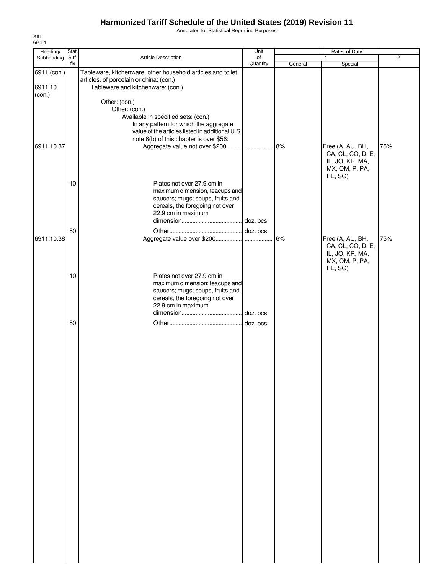Annotated for Statistical Reporting Purposes

| Heading/               | Stat. |                                                                                                                                             | Unit     |         | Rates of Duty                     |                |
|------------------------|-------|---------------------------------------------------------------------------------------------------------------------------------------------|----------|---------|-----------------------------------|----------------|
| Subheading             | Suf-  | Article Description                                                                                                                         | of       |         |                                   | $\overline{2}$ |
|                        | fix   |                                                                                                                                             | Quantity | General | Special                           |                |
| 6911 (con.)<br>6911.10 |       | Tableware, kitchenware, other household articles and toilet<br>articles, of porcelain or china: (con.)<br>Tableware and kitchenware: (con.) |          |         |                                   |                |
| (con.)                 |       |                                                                                                                                             |          |         |                                   |                |
|                        |       | Other: (con.)                                                                                                                               |          |         |                                   |                |
|                        |       | Other: (con.)                                                                                                                               |          |         |                                   |                |
|                        |       | Available in specified sets: (con.)                                                                                                         |          |         |                                   |                |
|                        |       | In any pattern for which the aggregate                                                                                                      |          |         |                                   |                |
|                        |       | value of the articles listed in additional U.S.                                                                                             |          |         |                                   |                |
|                        |       | note 6(b) of this chapter is over \$56:                                                                                                     |          |         |                                   |                |
| 6911.10.37             |       |                                                                                                                                             |          | 8%      | Free (A, AU, BH,                  | 75%            |
|                        |       |                                                                                                                                             |          |         | CA, CL, CO, D, E,                 |                |
|                        |       |                                                                                                                                             |          |         | IL, JO, KR, MA,<br>MX, OM, P, PA, |                |
|                        |       |                                                                                                                                             |          |         | PE, SG)                           |                |
|                        | 10    | Plates not over 27.9 cm in                                                                                                                  |          |         |                                   |                |
|                        |       | maximum dimension, teacups and                                                                                                              |          |         |                                   |                |
|                        |       | saucers; mugs; soups, fruits and                                                                                                            |          |         |                                   |                |
|                        |       | cereals, the foregoing not over                                                                                                             |          |         |                                   |                |
|                        |       | 22.9 cm in maximum                                                                                                                          |          |         |                                   |                |
|                        |       |                                                                                                                                             |          |         |                                   |                |
|                        | 50    |                                                                                                                                             |          |         |                                   |                |
| 6911.10.38             |       |                                                                                                                                             |          | 6%      | Free (A, AU, BH,                  | 75%            |
|                        |       |                                                                                                                                             |          |         | CA, CL, CO, D, E,                 |                |
|                        |       |                                                                                                                                             |          |         | IL, JO, KR, MA,                   |                |
|                        |       |                                                                                                                                             |          |         | MX, OM, P, PA,                    |                |
|                        |       |                                                                                                                                             |          |         | PE, SG)                           |                |
|                        | 10    | Plates not over 27.9 cm in                                                                                                                  |          |         |                                   |                |
|                        |       | maximum dimension; teacups and                                                                                                              |          |         |                                   |                |
|                        |       | saucers; mugs; soups, fruits and                                                                                                            |          |         |                                   |                |
|                        |       | cereals, the foregoing not over                                                                                                             |          |         |                                   |                |
|                        |       | 22.9 cm in maximum                                                                                                                          |          |         |                                   |                |
|                        |       |                                                                                                                                             |          |         |                                   |                |
|                        | 50    |                                                                                                                                             |          |         |                                   |                |
|                        |       |                                                                                                                                             |          |         |                                   |                |
|                        |       |                                                                                                                                             |          |         |                                   |                |
|                        |       |                                                                                                                                             |          |         |                                   |                |
|                        |       |                                                                                                                                             |          |         |                                   |                |
|                        |       |                                                                                                                                             |          |         |                                   |                |
|                        |       |                                                                                                                                             |          |         |                                   |                |
|                        |       |                                                                                                                                             |          |         |                                   |                |
|                        |       |                                                                                                                                             |          |         |                                   |                |
|                        |       |                                                                                                                                             |          |         |                                   |                |
|                        |       |                                                                                                                                             |          |         |                                   |                |
|                        |       |                                                                                                                                             |          |         |                                   |                |
|                        |       |                                                                                                                                             |          |         |                                   |                |
|                        |       |                                                                                                                                             |          |         |                                   |                |
|                        |       |                                                                                                                                             |          |         |                                   |                |
|                        |       |                                                                                                                                             |          |         |                                   |                |
|                        |       |                                                                                                                                             |          |         |                                   |                |
|                        |       |                                                                                                                                             |          |         |                                   |                |
|                        |       |                                                                                                                                             |          |         |                                   |                |
|                        |       |                                                                                                                                             |          |         |                                   |                |
|                        |       |                                                                                                                                             |          |         |                                   |                |
|                        |       |                                                                                                                                             |          |         |                                   |                |
|                        |       |                                                                                                                                             |          |         |                                   |                |
|                        |       |                                                                                                                                             |          |         |                                   |                |
|                        |       |                                                                                                                                             |          |         |                                   |                |
|                        |       |                                                                                                                                             |          |         |                                   |                |
|                        |       |                                                                                                                                             |          |         |                                   |                |
|                        |       |                                                                                                                                             |          |         |                                   |                |
|                        |       |                                                                                                                                             |          |         |                                   |                |
|                        |       |                                                                                                                                             |          |         |                                   |                |
|                        |       |                                                                                                                                             |          |         |                                   |                |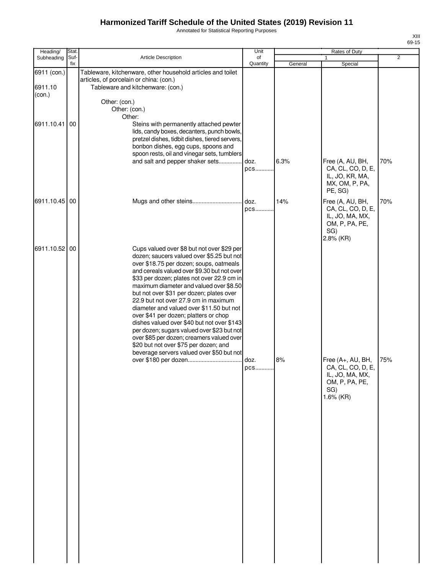Annotated for Statistical Reporting Purposes

| Heading/                         | Stat.       |                                                                                                                                                                                                                                                                                                                                                                                                                                                                                                                                                                                                                                                                                    | Unit           | Rates of Duty |                                                                                                    |                |  |
|----------------------------------|-------------|------------------------------------------------------------------------------------------------------------------------------------------------------------------------------------------------------------------------------------------------------------------------------------------------------------------------------------------------------------------------------------------------------------------------------------------------------------------------------------------------------------------------------------------------------------------------------------------------------------------------------------------------------------------------------------|----------------|---------------|----------------------------------------------------------------------------------------------------|----------------|--|
| Subheading                       | Suf-<br>fix | <b>Article Description</b>                                                                                                                                                                                                                                                                                                                                                                                                                                                                                                                                                                                                                                                         | of<br>Quantity | General       | $\mathbf{1}$<br>Special                                                                            | $\overline{2}$ |  |
| 6911 (con.)<br>6911.10<br>(con.) |             | Tableware, kitchenware, other household articles and toilet<br>articles, of porcelain or china: (con.)<br>Tableware and kitchenware: (con.)                                                                                                                                                                                                                                                                                                                                                                                                                                                                                                                                        |                |               |                                                                                                    |                |  |
| 6911.10.41                       | 00          | Other: (con.)<br>Other: (con.)<br>Other:<br>Steins with permanently attached pewter<br>lids, candy boxes, decanters, punch bowls,<br>pretzel dishes, tidbit dishes, tiered servers,<br>bonbon dishes, egg cups, spoons and                                                                                                                                                                                                                                                                                                                                                                                                                                                         |                |               |                                                                                                    |                |  |
|                                  |             | spoon rests, oil and vinegar sets, tumblers<br>and salt and pepper shaker sets                                                                                                                                                                                                                                                                                                                                                                                                                                                                                                                                                                                                     | doz.<br>pcs    | 6.3%          | Free (A, AU, BH,<br>CA, CL, CO, D, E,<br>IL, JO, KR, MA,<br>MX, OM, P, PA,<br>PE, SG)              | 70%            |  |
| 6911.10.45                       | 00          |                                                                                                                                                                                                                                                                                                                                                                                                                                                                                                                                                                                                                                                                                    | doz.<br>pcs    | 14%           | Free (A, AU, BH,<br>CA, CL, CO, D, E,<br>IL, JO, MA, MX,<br>OM, P, PA, PE,<br>SG)<br>2.8% (KR)     | 70%            |  |
| 6911.10.52 00                    |             | Cups valued over \$8 but not over \$29 per<br>dozen; saucers valued over \$5.25 but not<br>over \$18.75 per dozen; soups, oatmeals<br>and cereals valued over \$9.30 but not over<br>\$33 per dozen; plates not over 22.9 cm in<br>maximum diameter and valued over \$8.50<br>but not over \$31 per dozen; plates over<br>22.9 but not over 27.9 cm in maximum<br>diameter and valued over \$11.50 but not<br>over \$41 per dozen; platters or chop<br>dishes valued over \$40 but not over \$143<br>per dozen; sugars valued over \$23 but not<br>over \$85 per dozen; creamers valued over<br>\$20 but not over \$75 per dozen; and<br>beverage servers valued over \$50 but not |                |               |                                                                                                    |                |  |
|                                  |             |                                                                                                                                                                                                                                                                                                                                                                                                                                                                                                                                                                                                                                                                                    | doz.<br>pcs    | 8%            | Free (A+, AU, BH,<br>CA, CL, CO, D, E,<br>IL, JO, MA, MX,<br>OM, P, PA, PE,<br>SG)<br>$1.6\%$ (KR) | 75%            |  |
|                                  |             |                                                                                                                                                                                                                                                                                                                                                                                                                                                                                                                                                                                                                                                                                    |                |               |                                                                                                    |                |  |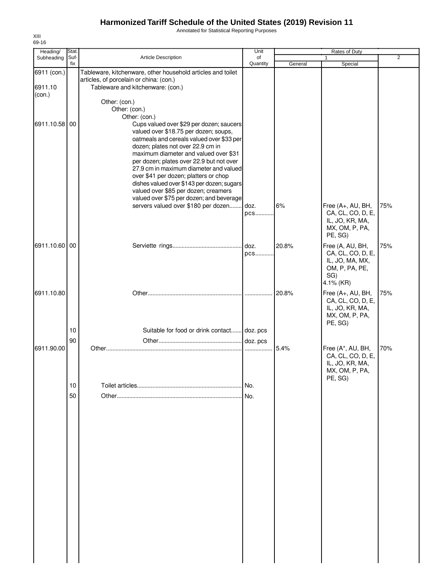Annotated for Statistical Reporting Purposes

| 69-16<br>Heading/                | Stat.                 |                                                                                                                                                                                                                                                                                                                                                                                                                                                                                                                                                                              | Unit           |         | Rates of Duty                                                                                   |                |
|----------------------------------|-----------------------|------------------------------------------------------------------------------------------------------------------------------------------------------------------------------------------------------------------------------------------------------------------------------------------------------------------------------------------------------------------------------------------------------------------------------------------------------------------------------------------------------------------------------------------------------------------------------|----------------|---------|-------------------------------------------------------------------------------------------------|----------------|
| Subheading                       | Suf-<br>fix           | <b>Article Description</b>                                                                                                                                                                                                                                                                                                                                                                                                                                                                                                                                                   | of<br>Quantity | General | 1<br>Special                                                                                    | $\overline{2}$ |
| 6911 (con.)<br>6911.10<br>(con.) |                       | Tableware, kitchenware, other household articles and toilet<br>articles, of porcelain or china: (con.)<br>Tableware and kitchenware: (con.)                                                                                                                                                                                                                                                                                                                                                                                                                                  |                |         |                                                                                                 |                |
| 6911.10.58                       | 00                    | Other: (con.)<br>Other: (con.)<br>Other: (con.)<br>Cups valued over \$29 per dozen; saucers<br>valued over \$18.75 per dozen; soups,<br>oatmeals and cereals valued over \$33 per<br>dozen; plates not over 22.9 cm in<br>maximum diameter and valued over \$31<br>per dozen; plates over 22.9 but not over<br>27.9 cm in maximum diameter and valued<br>over \$41 per dozen; platters or chop<br>dishes valued over \$143 per dozen; sugars<br>valued over \$85 per dozen; creamers<br>valued over \$75 per dozen; and beverage<br>servers valued over \$180 per dozen doz. | pcs            | 6%      | Free (A+, AU, BH,<br>CA, CL, CO, D, E,<br>IL, JO, KR, MA,                                       | 75%            |
| 6911.10.60 00                    |                       |                                                                                                                                                                                                                                                                                                                                                                                                                                                                                                                                                                              | doz.<br>pcs    | 20.8%   | MX, OM, P, PA,<br>PE, SG)<br>Free (A, AU, BH,<br>CA, CL, CO, D, E,<br>IL, JO, MA, MX,           | 75%            |
| 6911.10.80                       |                       |                                                                                                                                                                                                                                                                                                                                                                                                                                                                                                                                                                              |                | 20.8%   | OM, P, PA, PE,<br>SG)<br>4.1% (KR)<br>Free (A+, AU, BH,<br>CA, CL, CO, D, E,<br>IL, JO, KR, MA, | 75%            |
| 6911.90.00                       | 10<br>90              | Suitable for food or drink contact doz. pcs                                                                                                                                                                                                                                                                                                                                                                                                                                                                                                                                  | doz. pcs       | 5.4%    | MX, OM, P, PA,<br>PE, SG)<br>Free (A*, AU, BH,<br>CA, CL, CO, D, E,                             | 70%            |
|                                  | 10 <sup>1</sup><br>50 |                                                                                                                                                                                                                                                                                                                                                                                                                                                                                                                                                                              | INo.<br>I No.  |         | IL, JO, KR, MA,<br>MX, OM, P, PA,<br>PE, SG)                                                    |                |
|                                  |                       |                                                                                                                                                                                                                                                                                                                                                                                                                                                                                                                                                                              |                |         |                                                                                                 |                |
|                                  |                       |                                                                                                                                                                                                                                                                                                                                                                                                                                                                                                                                                                              |                |         |                                                                                                 |                |
|                                  |                       |                                                                                                                                                                                                                                                                                                                                                                                                                                                                                                                                                                              |                |         |                                                                                                 |                |

XIII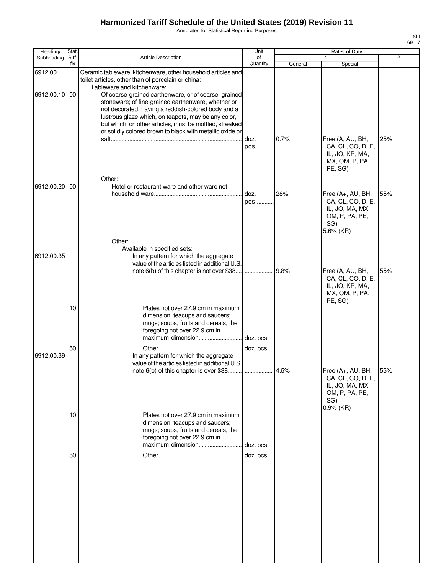Annotated for Statistical Reporting Purposes

| Heading/      | <b>Stat</b> |                                                                                                                                                                                                                                                                                                                                               | Unit           |         | Rates of Duty                                                                                   |                |
|---------------|-------------|-----------------------------------------------------------------------------------------------------------------------------------------------------------------------------------------------------------------------------------------------------------------------------------------------------------------------------------------------|----------------|---------|-------------------------------------------------------------------------------------------------|----------------|
| Subheading    | Suf-<br>fix | <b>Article Description</b>                                                                                                                                                                                                                                                                                                                    | of<br>Quantity | General | 1<br>Special                                                                                    | $\overline{2}$ |
| 6912.00       |             | Ceramic tableware, kitchenware, other household articles and<br>toilet articles, other than of porcelain or china:<br>Tableware and kitchenware:                                                                                                                                                                                              |                |         |                                                                                                 |                |
| 6912.00.10 00 |             | Of coarse-grained earthenware, or of coarse-grained<br>stoneware; of fine-grained earthenware, whether or<br>not decorated, having a reddish-colored body and a<br>lustrous glaze which, on teapots, may be any color,<br>but which, on other articles, must be mottled, streaked<br>or solidly colored brown to black with metallic oxide or |                |         |                                                                                                 |                |
|               |             | Other:                                                                                                                                                                                                                                                                                                                                        | doz.<br>pcs    | 0.7%    | Free (A, AU, BH,<br>CA, CL, CO, D, E,<br>IL, JO, KR, MA,<br>MX, OM, P, PA,<br>PE, SG)           | 25%            |
| 6912.00.20    | 00          | Hotel or restaurant ware and other ware not                                                                                                                                                                                                                                                                                                   | doz.<br>pcs    | 28%     | Free (A+, AU, BH,<br>CA, CL, CO, D, E,<br>IL, JO, MA, MX,<br>OM, P, PA, PE,<br>SG)<br>5.6% (KR) | 55%            |
| 6912.00.35    |             | Other:<br>Available in specified sets:<br>In any pattern for which the aggregate<br>value of the articles listed in additional U.S.<br>note 6(b) of this chapter is not over \$38                                                                                                                                                             |                | 9.8%    | Free (A, AU, BH,<br>CA, CL, CO, D, E,<br>IL, JO, KR, MA,<br>MX, OM, P, PA,<br>PE, SG)           | 55%            |
|               | 10          | Plates not over 27.9 cm in maximum<br>dimension; teacups and saucers;<br>mugs; soups, fruits and cereals, the<br>foregoing not over 22.9 cm in<br>maximum dimension                                                                                                                                                                           | doz. pcs       |         |                                                                                                 |                |
| 6912.00.39    | 50          | In any pattern for which the aggregate<br>value of the articles listed in additional U.S.<br>note 6(b) of this chapter is over \$38.                                                                                                                                                                                                          | doz. pcs       | 4.5%    | Free (A+, AU, BH,<br>CA, CL, CO, D, E,<br>IL, JO, MA, MX,<br>OM, P, PA, PE,<br>SG)              | 55%            |
|               | 10          | Plates not over 27.9 cm in maximum<br>dimension; teacups and saucers;<br>mugs; soups, fruits and cereals, the<br>foregoing not over 22.9 cm in                                                                                                                                                                                                |                |         | 0.9% (KR)                                                                                       |                |
|               | 50          |                                                                                                                                                                                                                                                                                                                                               | doz. pcs       |         |                                                                                                 |                |
|               |             |                                                                                                                                                                                                                                                                                                                                               |                |         |                                                                                                 |                |
|               |             |                                                                                                                                                                                                                                                                                                                                               |                |         |                                                                                                 |                |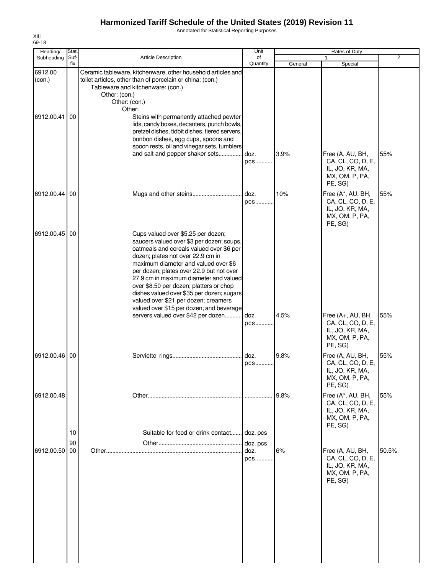Annotated for Statistical Reporting Purposes

| 2     |
|-------|
|       |
| 55%   |
| 55%   |
|       |
| 55%   |
| 55%   |
| 55%   |
| 50.5% |
|       |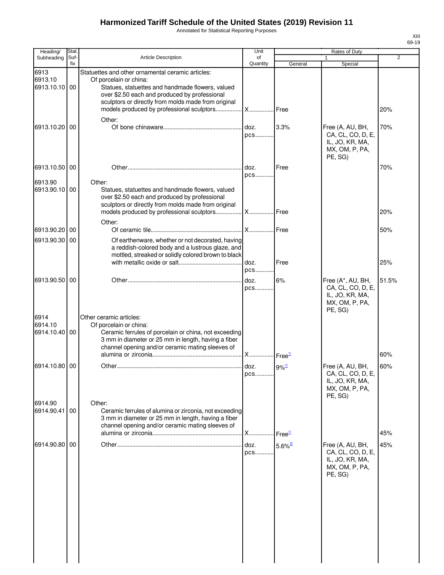Annotated for Statistical Reporting Purposes

| Heading/                                    | Stat        |                                                                                                                                                                                                                                         | Unit           |                                       | Rates of Duty                                                                          |                |
|---------------------------------------------|-------------|-----------------------------------------------------------------------------------------------------------------------------------------------------------------------------------------------------------------------------------------|----------------|---------------------------------------|----------------------------------------------------------------------------------------|----------------|
| Subheading                                  | Suf-<br>fix | <b>Article Description</b>                                                                                                                                                                                                              | of<br>Quantity | General                               | Special                                                                                | $\overline{2}$ |
| 6913<br>6913.10<br>6913.10.10 00            |             | Statuettes and other ornamental ceramic articles:<br>Of porcelain or china:<br>Statues, statuettes and handmade flowers, valued<br>over \$2.50 each and produced by professional<br>sculptors or directly from molds made from original |                |                                       |                                                                                        | 20%            |
| 6913.10.20                                  | 00          | Other:                                                                                                                                                                                                                                  | doz.<br>pcs    | 3.3%                                  | Free (A, AU, BH,<br>CA, CL, CO, D, E,<br>IL, JO, KR, MA,<br>MX, OM, P, PA,<br>PE, SG)  | 70%            |
| 6913.10.50 00                               |             |                                                                                                                                                                                                                                         | doz.           | Free                                  |                                                                                        | 70%            |
| 6913.90<br>6913.90.10 00                    |             | Other:<br>Statues, statuettes and handmade flowers, valued<br>over \$2.50 each and produced by professional<br>sculptors or directly from molds made from original                                                                      | pcs            |                                       |                                                                                        |                |
|                                             |             | Other:                                                                                                                                                                                                                                  |                |                                       |                                                                                        | 20%            |
| 6913.90.20                                  | 00          |                                                                                                                                                                                                                                         | <b>X</b>       | I Free                                |                                                                                        | 50%            |
| 6913.90.30                                  | 00          | Of earthenware, whether or not decorated, having<br>a reddish-colored body and a lustrous glaze, and<br>mottled, streaked or solidly colored brown to black                                                                             | doz.           | Free                                  |                                                                                        | 25%            |
|                                             |             |                                                                                                                                                                                                                                         | pcs            |                                       |                                                                                        |                |
| 6913.90.50<br>6914<br>6914.10<br>6914.10.40 | 00<br>00    | Other ceramic articles:<br>Of porcelain or china:<br>Ceramic ferrules of porcelain or china, not exceeding                                                                                                                              | doz.<br>pcs    | 6%                                    | Free (A*, AU, BH,<br>CA, CL, CO, D, E,<br>IL, JO, KR, MA,<br>MX, OM, P, PA,<br>PE, SG) | 51.5%          |
|                                             |             | 3 mm in diameter or 25 mm in length, having a fiber<br>channel opening and/or ceramic mating sleeves of                                                                                                                                 | <b>X</b>       | $\mathsf{I}$ Free $^\mathsf{1\prime}$ |                                                                                        | 60%            |
| 6914.10.80 00                               |             |                                                                                                                                                                                                                                         | doz.<br>pcs    | $9\%$ <sup>1/</sup>                   | Free (A, AU, BH,<br>CA, CL, CO, D, E,<br>IL, JO, KR, MA,<br>MX, OM, P, PA,<br>PE, SG)  | 60%            |
| 6914.90<br>6914.90.41                       | 00          | Other:<br>Ceramic ferrules of alumina or zirconia, not exceeding<br>3 mm in diameter or 25 mm in length, having a fiber<br>channel opening and/or ceramic mating sleeves of                                                             | <b>X</b>       | $\cdot$ Free $\frac{1}{2}$            |                                                                                        | 45%            |
| 6914.90.80 00                               |             |                                                                                                                                                                                                                                         | doz.<br>pcs    | $5.6\%$ <sup>2/</sup>                 | Free (A, AU, BH,<br>CA, CL, CO, D, E,<br>IL, JO, KR, MA,<br>MX, OM, P, PA,<br>PE, SG)  | 45%            |
|                                             |             |                                                                                                                                                                                                                                         |                |                                       |                                                                                        |                |